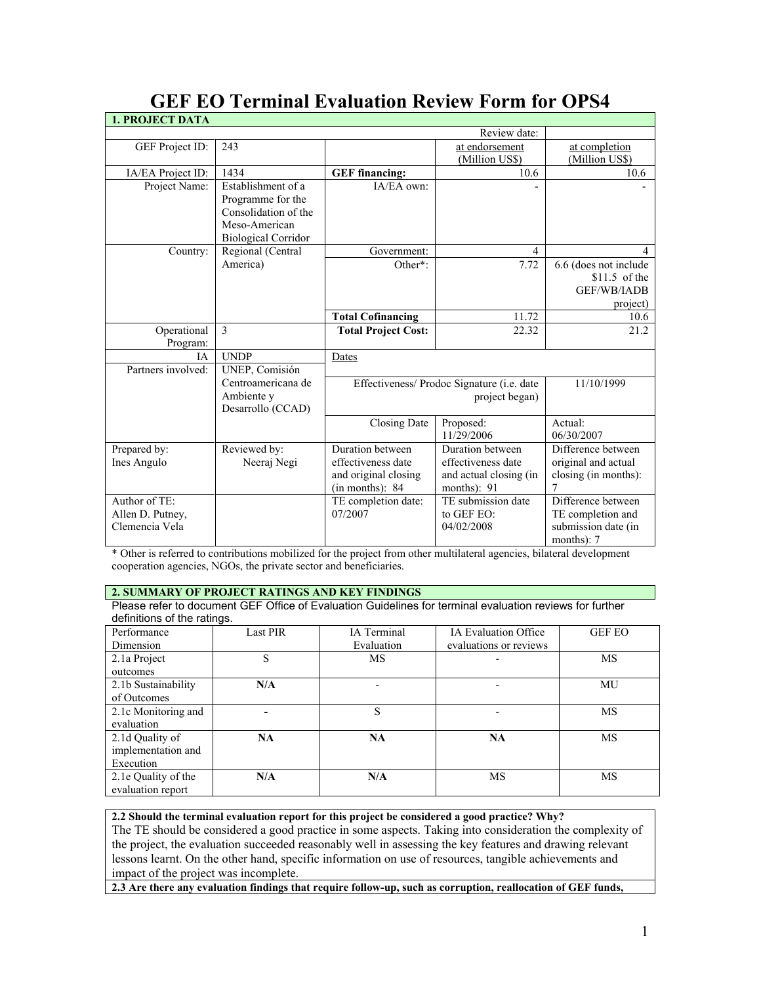| <b>1. PROJECT DATA</b>                              |                                                                                                                |                                                                                   |                                                                                 |                                                                              |
|-----------------------------------------------------|----------------------------------------------------------------------------------------------------------------|-----------------------------------------------------------------------------------|---------------------------------------------------------------------------------|------------------------------------------------------------------------------|
|                                                     |                                                                                                                |                                                                                   | Review date:                                                                    |                                                                              |
| GEF Project ID:                                     | 243                                                                                                            |                                                                                   | at endorsement<br>(Million US\$)                                                | at completion<br>(Million US\$)                                              |
| IA/EA Project ID:                                   | 1434                                                                                                           | <b>GEF</b> financing:                                                             | 10.6                                                                            | 10.6                                                                         |
| Project Name:                                       | Establishment of a<br>Programme for the<br>Consolidation of the<br>Meso-American<br><b>Biological Corridor</b> | IA/EA own:                                                                        |                                                                                 |                                                                              |
| Country:                                            | Regional (Central                                                                                              | Government:                                                                       | 4                                                                               | 4                                                                            |
|                                                     | America)                                                                                                       | Other*:                                                                           | 7.72                                                                            | 6.6 (does not include<br>$$11.5$ of the<br>GEF/WB/IADB<br>project)           |
|                                                     |                                                                                                                | <b>Total Cofinancing</b>                                                          | 11.72                                                                           | 10.6                                                                         |
| Operational<br>Program:                             | 3                                                                                                              | <b>Total Project Cost:</b>                                                        | 22.32                                                                           | 21.2                                                                         |
| ΙA.<br>Partners involved:                           | <b>UNDP</b><br>UNEP, Comisión                                                                                  | Dates                                                                             |                                                                                 |                                                                              |
|                                                     | Centroamericana de<br>Ambiente y<br>Desarrollo (CCAD)                                                          | Effectiveness/ Prodoc Signature (i.e. date                                        | 11/10/1999                                                                      |                                                                              |
|                                                     |                                                                                                                | Closing Date                                                                      | Proposed:<br>11/29/2006                                                         | Actual:<br>06/30/2007                                                        |
| Prepared by:<br>Ines Angulo                         | Reviewed by:<br>Neeraj Negi                                                                                    | Duration between<br>effectiveness date<br>and original closing<br>(in months): 84 | Duration between<br>effectiveness date<br>and actual closing (in<br>months): 91 | Difference between<br>original and actual<br>closing (in months):<br>7       |
| Author of TE:<br>Allen D. Putney,<br>Clemencia Vela |                                                                                                                | TE completion date:<br>07/2007                                                    | TE submission date<br>to GEF EO:<br>04/02/2008                                  | Difference between<br>TE completion and<br>submission date (in<br>months): 7 |

# **GEF EO Terminal Evaluation Review Form for OPS4**

\* Other is referred to contributions mobilized for the project from other multilateral agencies, bilateral development cooperation agencies, NGOs, the private sector and beneficiaries.

## **2. SUMMARY OF PROJECT RATINGS AND KEY FINDINGS**

Please refer to document GEF Office of Evaluation Guidelines for terminal evaluation reviews for further definitions of the ratings.

| Performance         | <b>Last PIR</b> | IA Terminal | <b>IA Evaluation Office</b> | <b>GEF EO</b> |
|---------------------|-----------------|-------------|-----------------------------|---------------|
| Dimension           |                 | Evaluation  | evaluations or reviews      |               |
| 2.1a Project        | S               | MS          |                             | MS            |
| outcomes            |                 |             |                             |               |
| 2.1b Sustainability | N/A             |             |                             | MU            |
| of Outcomes         |                 |             |                             |               |
| 2.1c Monitoring and |                 | S           |                             | MS            |
| evaluation          |                 |             |                             |               |
| 2.1d Quality of     | NA.             | <b>NA</b>   | NA                          | MS            |
| implementation and  |                 |             |                             |               |
| Execution           |                 |             |                             |               |
| 2.1e Quality of the | N/A             | N/A         | MS                          | MS            |
| evaluation report   |                 |             |                             |               |

## **2.2 Should the terminal evaluation report for this project be considered a good practice? Why?**

The TE should be considered a good practice in some aspects. Taking into consideration the complexity of the project, the evaluation succeeded reasonably well in assessing the key features and drawing relevant lessons learnt. On the other hand, specific information on use of resources, tangible achievements and impact of the project was incomplete.

**2.3 Are there any evaluation findings that require follow-up, such as corruption, reallocation of GEF funds,**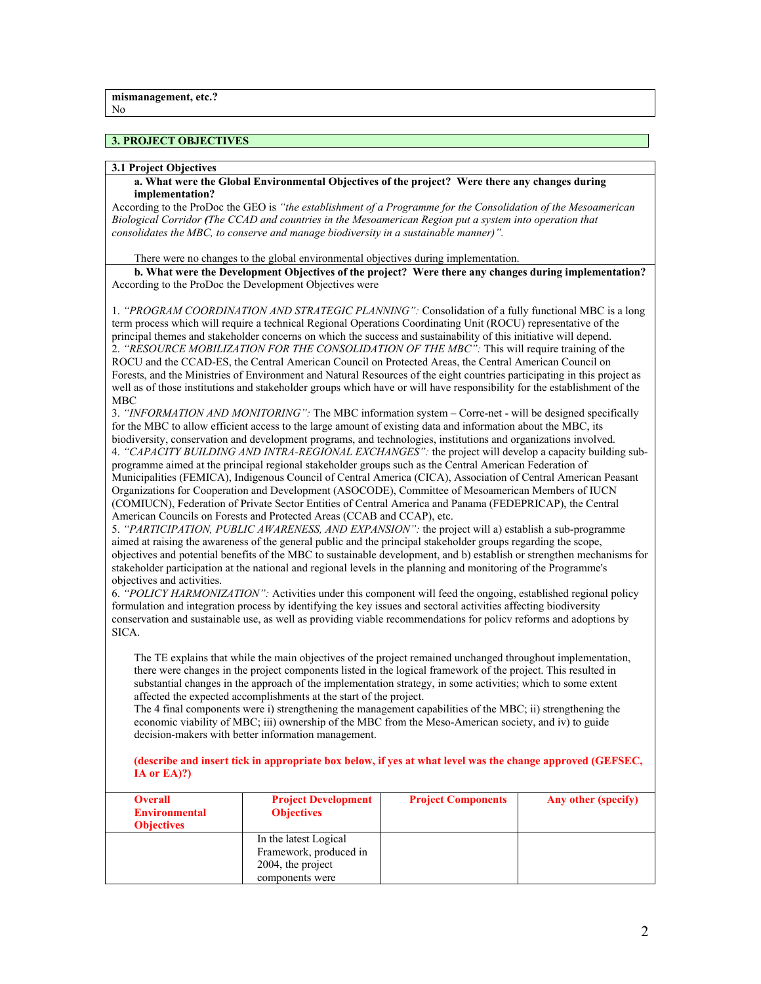## **3. PROJECT OBJECTIVES**

### **3.1 Project Objectives**

### **a. What were the Global Environmental Objectives of the project? Were there any changes during implementation?**

According to the ProDoc the GEO is *"the establishment of a Programme for the Consolidation of the Mesoamerican Biological Corridor (The CCAD and countries in the Mesoamerican Region put a system into operation that consolidates the MBC, to conserve and manage biodiversity in a sustainable manner)".* 

There were no changes to the global environmental objectives during implementation.

**b. What were the Development Objectives of the project? Were there any changes during implementation?** According to the ProDoc the Development Objectives were

1. *"PROGRAM COORDINATION AND STRATEGIC PLANNING":* Consolidation of a fully functional MBC is a long term process which will require a technical Regional Operations Coordinating Unit (ROCU) representative of the principal themes and stakeholder concerns on which the success and sustainability of this initiative will depend. 2. *"RESOURCE MOBILIZATION FOR THE CONSOLIDATION OF THE MBC":* This will require training of the ROCU and the CCAD-ES, the Central American Council on Protected Areas, the Central American Council on Forests, and the Ministries of Environment and Natural Resources of the eight countries participating in this project as well as of those institutions and stakeholder groups which have or will have responsibility for the establishment of the **MBC** 

3. *"INFORMATION AND MONITORING":* The MBC information system – Corre-net - will be designed specifically for the MBC to allow efficient access to the large amount of existing data and information about the MBC, its biodiversity, conservation and development programs, and technologies, institutions and organizations involved. 4. *"CAPACITY BUILDING AND INTRA-REGIONAL EXCHANGES":* the project will develop a capacity building sub-

programme aimed at the principal regional stakeholder groups such as the Central American Federation of Municipalities (FEMICA), Indigenous Council of Central America (CICA), Association of Central American Peasant Organizations for Cooperation and Development (ASOCODE), Committee of Mesoamerican Members of IUCN (COMIUCN), Federation of Private Sector Entities of Central America and Panama (FEDEPRICAP), the Central American Councils on Forests and Protected Areas (CCAB and CCAP), etc.

5. *"PARTICIPATION, PUBLIC AWARENESS, AND EXPANSION":* the project will a) establish a sub-programme aimed at raising the awareness of the general public and the principal stakeholder groups regarding the scope, objectives and potential benefits of the MBC to sustainable development, and b) establish or strengthen mechanisms for stakeholder participation at the national and regional levels in the planning and monitoring of the Programme's objectives and activities.

6. *"POLICY HARMONIZATION":* Activities under this component will feed the ongoing, established regional policy formulation and integration process by identifying the key issues and sectoral activities affecting biodiversity conservation and sustainable use, as well as providing viable recommendations for policv reforms and adoptions by SICA.

The TE explains that while the main objectives of the project remained unchanged throughout implementation, there were changes in the project components listed in the logical framework of the project. This resulted in substantial changes in the approach of the implementation strategy, in some activities; which to some extent affected the expected accomplishments at the start of the project.

The 4 final components were i) strengthening the management capabilities of the MBC; ii) strengthening the economic viability of MBC; iii) ownership of the MBC from the Meso-American society, and iv) to guide decision-makers with better information management.

**(describe and insert tick in appropriate box below, if yes at what level was the change approved (GEFSEC, IA or EA)?)**

| <b>Overall</b><br><b>Environmental</b><br><b>Objectives</b> | <b>Project Development</b><br><b>Objectives</b>                                         | <b>Project Components</b> | Any other (specify) |
|-------------------------------------------------------------|-----------------------------------------------------------------------------------------|---------------------------|---------------------|
|                                                             | In the latest Logical<br>Framework, produced in<br>2004, the project<br>components were |                           |                     |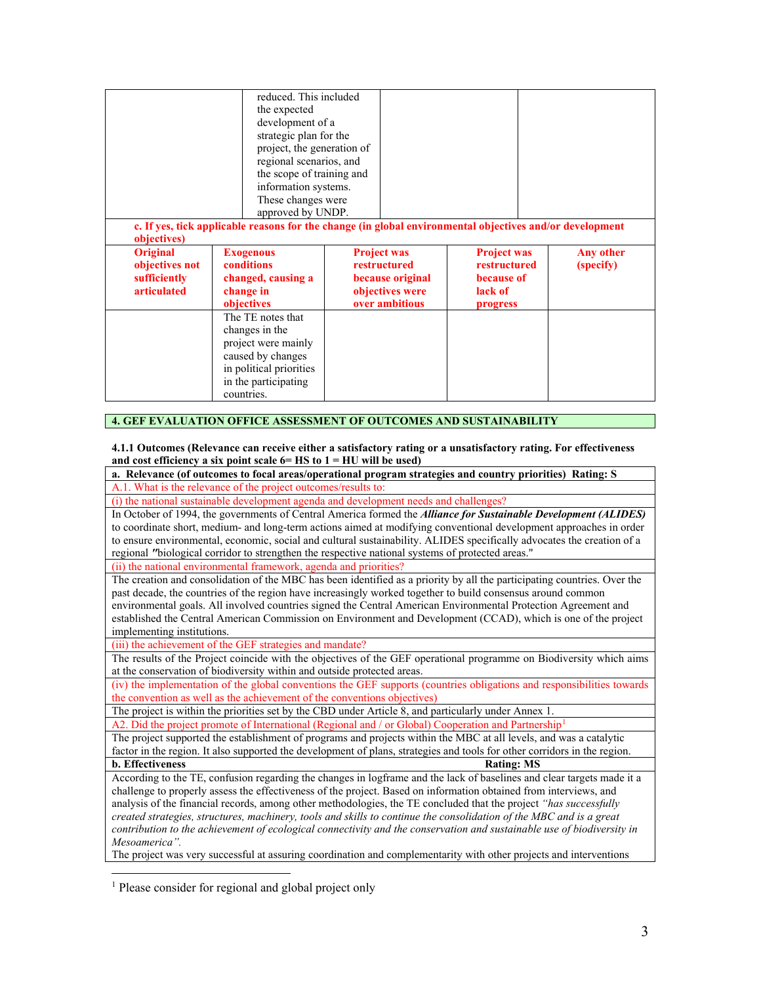|                                                                                        | reduced. This included<br>the expected<br>development of a<br>strategic plan for the<br>project, the generation of<br>regional scenarios, and<br>the scope of training and<br>information systems.<br>These changes were<br>approved by UNDP. | c. If yes, tick applicable reasons for the change (in global environmental objectives and/or development |                                                                         |                        |
|----------------------------------------------------------------------------------------|-----------------------------------------------------------------------------------------------------------------------------------------------------------------------------------------------------------------------------------------------|----------------------------------------------------------------------------------------------------------|-------------------------------------------------------------------------|------------------------|
| objectives)<br><b>Original</b><br>objectives not<br>sufficiently<br><i>articulated</i> | <b>Exogenous</b><br>conditions<br>changed, causing a<br>change in<br>objectives<br>The TE notes that<br>changes in the<br>project were mainly<br>caused by changes<br>in political priorities<br>in the participating                         | <b>Project was</b><br>restructured<br>because original<br>objectives were<br>over ambitious              | <b>Project was</b><br>restructured<br>because of<br>lack of<br>progress | Any other<br>(specify) |

## **4. GEF EVALUATION OFFICE ASSESSMENT OF OUTCOMES AND SUSTAINABILITY**

**4.1.1 Outcomes (Relevance can receive either a satisfactory rating or a unsatisfactory rating. For effectiveness**  and cost efficiency a six point scale  $6 = HS$  to  $1 = HU$  will be used)

**a. Relevance (of outcomes to focal areas/operational program strategies and country priorities) Rating: S** A.1. What is the relevance of the project outcomes/results to:

(i) the national sustainable development agenda and development needs and challenges?

In October of 1994, the governments of Central America formed the *Alliance for Sustainable Development (ALIDES)*  to coordinate short, medium- and long-term actions aimed at modifying conventional development approaches in order to ensure environmental, economic, social and cultural sustainability. ALIDES specifically advocates the creation of a regional *"*biological corridor to strengthen the respective national systems of protected areas."

(ii) the national environmental framework, agenda and priorities?

The creation and consolidation of the MBC has been identified as a priority by all the participating countries. Over the past decade, the countries of the region have increasingly worked together to build consensus around common environmental goals. All involved countries signed the Central American Environmental Protection Agreement and established the Central American Commission on Environment and Development (CCAD), which is one of the project implementing institutions.

(iii) the achievement of the GEF strategies and mandate?

The results of the Project coincide with the objectives of the GEF operational programme on Biodiversity which aims at the conservation of biodiversity within and outside protected areas.

(iv) the implementation of the global conventions the GEF supports (countries obligations and responsibilities towards the convention as well as the achievement of the conventions objectives)

The project is within the priorities set by the CBD under Article 8, and particularly under Annex 1.

A2. Did the project promote of International (Regional and / or Global) Cooperation and Partnership<sup>[1](#page-2-0)</sup>

The project supported the establishment of programs and projects within the MBC at all levels, and was a catalytic factor in the region. It also supported the development of plans, strategies and tools for other corridors in the region. **b.** Effectiveness Rating: MS

According to the TE, confusion regarding the changes in logframe and the lack of baselines and clear targets made it a challenge to properly assess the effectiveness of the project. Based on information obtained from interviews, and analysis of the financial records, among other methodologies, the TE concluded that the project *"has successfully created strategies, structures, machinery, tools and skills to continue the consolidation of the MBC and is a great contribution to the achievement of ecological connectivity and the conservation and sustainable use of biodiversity in Mesoamerica".*

The project was very successful at assuring coordination and complementarity with other projects and interventions

<span id="page-2-0"></span><sup>1</sup> Please consider for regional and global project only

 $\overline{a}$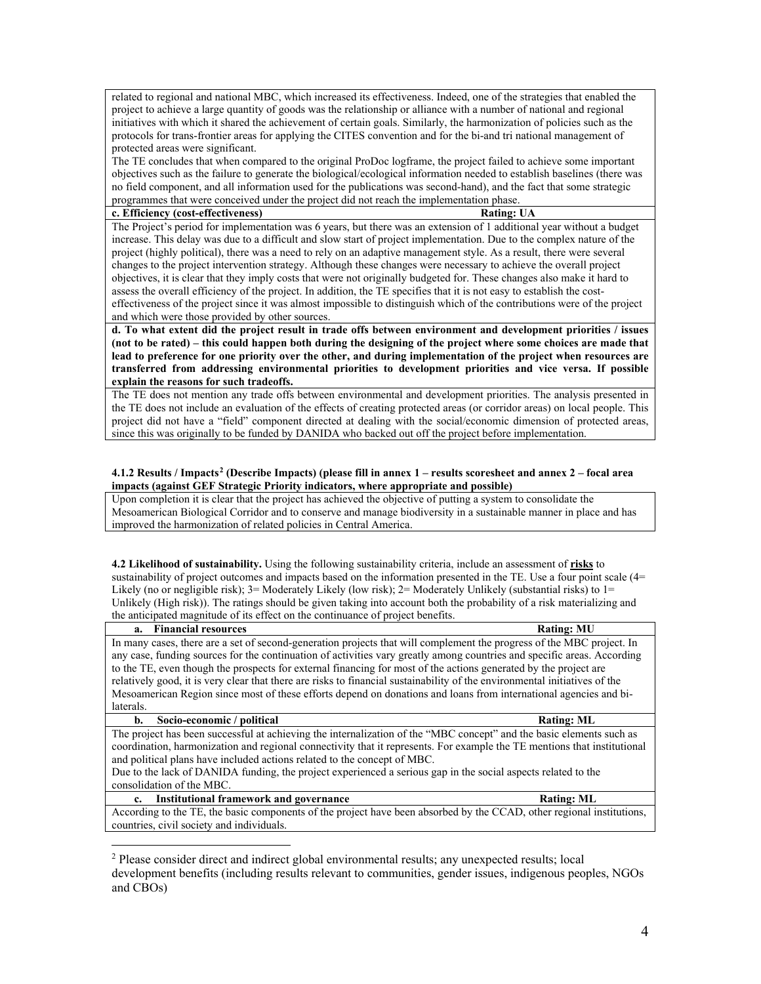related to regional and national MBC, which increased its effectiveness. Indeed, one of the strategies that enabled the project to achieve a large quantity of goods was the relationship or alliance with a number of national and regional initiatives with which it shared the achievement of certain goals. Similarly, the harmonization of policies such as the protocols for trans-frontier areas for applying the CITES convention and for the bi-and tri national management of protected areas were significant.

The TE concludes that when compared to the original ProDoc logframe, the project failed to achieve some important objectives such as the failure to generate the biological/ecological information needed to establish baselines (there was no field component, and all information used for the publications was second-hand), and the fact that some strategic programmes that were conceived under the project did not reach the implementation phase.

#### **c. Efficiency (cost-effectiveness) Rating: UA**

The Project's period for implementation was 6 years, but there was an extension of 1 additional year without a budget increase. This delay was due to a difficult and slow start of project implementation. Due to the complex nature of the project (highly political), there was a need to rely on an adaptive management style. As a result, there were several changes to the project intervention strategy. Although these changes were necessary to achieve the overall project objectives, it is clear that they imply costs that were not originally budgeted for. These changes also make it hard to assess the overall efficiency of the project. In addition, the TE specifies that it is not easy to establish the costeffectiveness of the project since it was almost impossible to distinguish which of the contributions were of the project and which were those provided by other sources.

**d. To what extent did the project result in trade offs between environment and development priorities / issues (not to be rated) – this could happen both during the designing of the project where some choices are made that lead to preference for one priority over the other, and during implementation of the project when resources are transferred from addressing environmental priorities to development priorities and vice versa. If possible explain the reasons for such tradeoffs.**

The TE does not mention any trade offs between environmental and development priorities. The analysis presented in the TE does not include an evaluation of the effects of creating protected areas (or corridor areas) on local people. This project did not have a "field" component directed at dealing with the social/economic dimension of protected areas, since this was originally to be funded by DANIDA who backed out off the project before implementation.

### **4.1.2 Results / Impacts[2](#page-3-0) (Describe Impacts) (please fill in annex 1 – results scoresheet and annex 2 – focal area impacts (against GEF Strategic Priority indicators, where appropriate and possible)**

Upon completion it is clear that the project has achieved the objective of putting a system to consolidate the Mesoamerican Biological Corridor and to conserve and manage biodiversity in a sustainable manner in place and has improved the harmonization of related policies in Central America.

**4.2 Likelihood of sustainability.** Using the following sustainability criteria, include an assessment of **risks** to sustainability of project outcomes and impacts based on the information presented in the TE. Use a four point scale (4= Likely (no or negligible risk);  $3=$  Moderately Likely (low risk);  $2=$  Moderately Unlikely (substantial risks) to  $1=$ Unlikely (High risk)). The ratings should be given taking into account both the probability of a risk materializing and the anticipated magnitude of its effect on the continuance of project benefits.

#### **a. Financial resources Rating: MU**

 $\overline{a}$ 

In many cases, there are a set of second-generation projects that will complement the progress of the MBC project. In any case, funding sources for the continuation of activities vary greatly among countries and specific areas. According to the TE, even though the prospects for external financing for most of the actions generated by the project are relatively good, it is very clear that there are risks to financial sustainability of the environmental initiatives of the Mesoamerican Region since most of these efforts depend on donations and loans from international agencies and bilaterals.

#### **b.** Socio-economic / political **Rating: ML**

The project has been successful at achieving the internalization of the "MBC concept" and the basic elements such as coordination, harmonization and regional connectivity that it represents. For example the TE mentions that institutional and political plans have included actions related to the concept of MBC.

Due to the lack of DANIDA funding, the project experienced a serious gap in the social aspects related to the consolidation of the MBC.

## **c. Institutional framework and governance Rating: ML**

According to the TE, the basic components of the project have been absorbed by the CCAD, other regional institutions, countries, civil society and individuals.

<span id="page-3-0"></span><sup>2</sup> Please consider direct and indirect global environmental results; any unexpected results; local development benefits (including results relevant to communities, gender issues, indigenous peoples, NGOs and CBOs)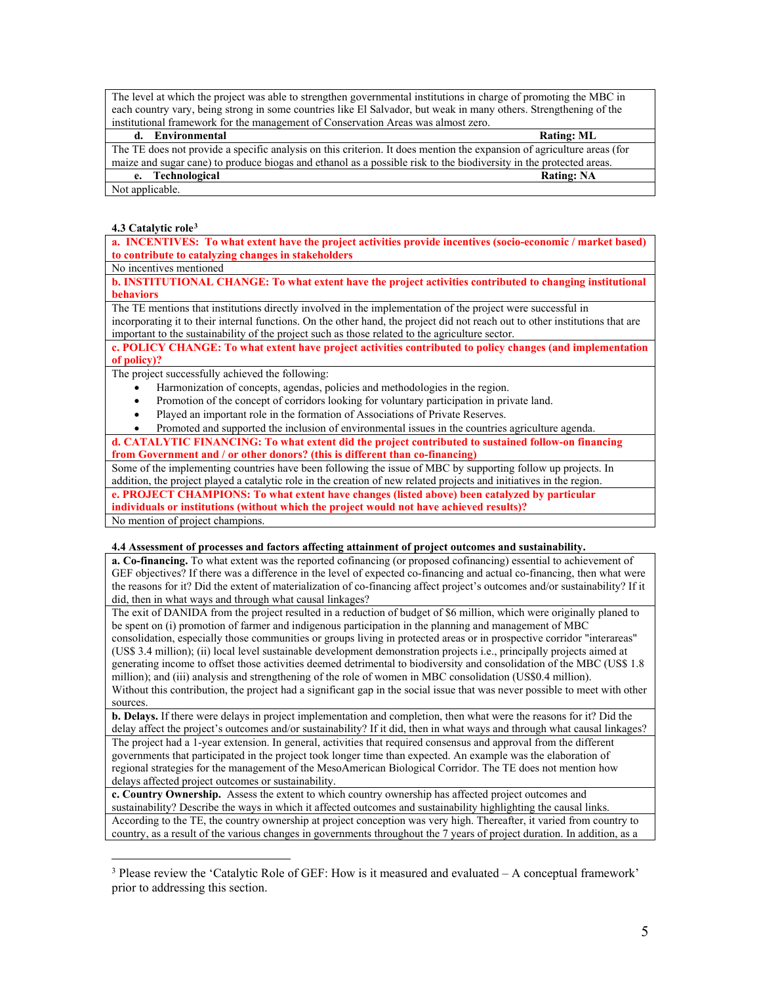The level at which the project was able to strengthen governmental institutions in charge of promoting the MBC in each country vary, being strong in some countries like El Salvador, but weak in many others. Strengthening of the institutional framework for the management of Conservation Areas was almost zero.

| d. Environmental                                                                                                       | <b>Rating: ML</b> |
|------------------------------------------------------------------------------------------------------------------------|-------------------|
| The TE does not provide a specific analysis on this criterion. It does mention the expansion of agriculture areas (for |                   |
| maize and sugar cane) to produce biogas and ethanol as a possible risk to the biodiversity in the protected areas.     |                   |
| e. Technological                                                                                                       | <b>Rating: NA</b> |
| Not applicable.                                                                                                        |                   |

## **4.3 Catalytic role[3](#page-4-0)**

**a. INCENTIVES: To what extent have the project activities provide incentives (socio-economic / market based) to contribute to catalyzing changes in stakeholders** 

No incentives mentioned

**b. INSTITUTIONAL CHANGE: To what extent have the project activities contributed to changing institutional behaviors** 

The TE mentions that institutions directly involved in the implementation of the project were successful in incorporating it to their internal functions. On the other hand, the project did not reach out to other institutions that are important to the sustainability of the project such as those related to the agriculture sector.

**c. POLICY CHANGE: To what extent have project activities contributed to policy changes (and implementation of policy)?**

The project successfully achieved the following:

- Harmonization of concepts, agendas, policies and methodologies in the region.
- Promotion of the concept of corridors looking for voluntary participation in private land.
- Played an important role in the formation of Associations of Private Reserves.

• Promoted and supported the inclusion of environmental issues in the countries agriculture agenda. **d. CATALYTIC FINANCING: To what extent did the project contributed to sustained follow-on financing** 

**from Government and / or other donors? (this is different than co-financing)**

Some of the implementing countries have been following the issue of MBC by supporting follow up projects. In

addition, the project played a catalytic role in the creation of new related projects and initiatives in the region.

**e. PROJECT CHAMPIONS: To what extent have changes (listed above) been catalyzed by particular** 

**individuals or institutions (without which the project would not have achieved results)?**

No mention of project champions.

 $\overline{a}$ 

## **4.4 Assessment of processes and factors affecting attainment of project outcomes and sustainability.**

**a. Co-financing.** To what extent was the reported cofinancing (or proposed cofinancing) essential to achievement of GEF objectives? If there was a difference in the level of expected co-financing and actual co-financing, then what were the reasons for it? Did the extent of materialization of co-financing affect project's outcomes and/or sustainability? If it did, then in what ways and through what causal linkages?

The exit of DANIDA from the project resulted in a reduction of budget of \$6 million, which were originally planed to be spent on (i) promotion of farmer and indigenous participation in the planning and management of MBC consolidation, especially those communities or groups living in protected areas or in prospective corridor "interareas" (US\$ 3.4 million); (ii) local level sustainable development demonstration projects i.e., principally projects aimed at generating income to offset those activities deemed detrimental to biodiversity and consolidation of the MBC (US\$ 1.8 million); and (iii) analysis and strengthening of the role of women in MBC consolidation (US\$0.4 million). Without this contribution, the project had a significant gap in the social issue that was never possible to meet with other sources.

**b. Delays.** If there were delays in project implementation and completion, then what were the reasons for it? Did the delay affect the project's outcomes and/or sustainability? If it did, then in what ways and through what causal linkages? The project had a 1-year extension. In general, activities that required consensus and approval from the different governments that participated in the project took longer time than expected. An example was the elaboration of regional strategies for the management of the MesoAmerican Biological Corridor. The TE does not mention how delays affected project outcomes or sustainability.

**c. Country Ownership.** Assess the extent to which country ownership has affected project outcomes and sustainability? Describe the ways in which it affected outcomes and sustainability highlighting the causal links. According to the TE, the country ownership at project conception was very high. Thereafter, it varied from country to country, as a result of the various changes in governments throughout the 7 years of project duration. In addition, as a

<span id="page-4-0"></span><sup>&</sup>lt;sup>3</sup> Please review the 'Catalytic Role of GEF: How is it measured and evaluated  $-A$  conceptual framework' prior to addressing this section.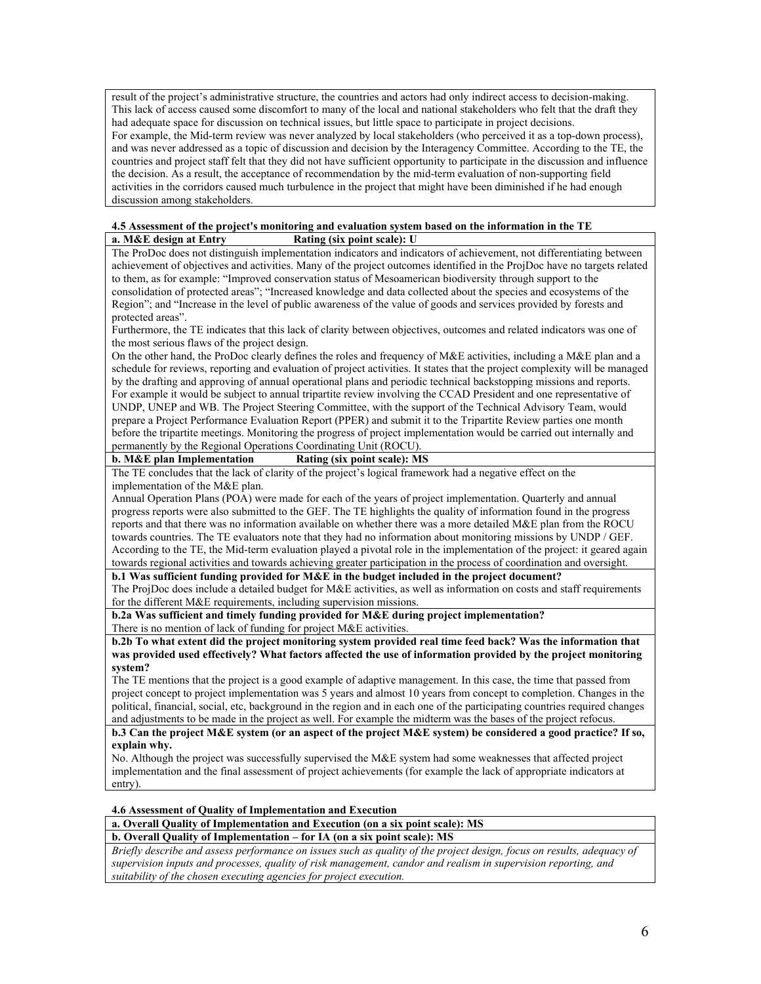result of the project's administrative structure, the countries and actors had only indirect access to decision-making. This lack of access caused some discomfort to many of the local and national stakeholders who felt that the draft they had adequate space for discussion on technical issues, but little space to participate in project decisions. For example, the Mid-term review was never analyzed by local stakeholders (who perceived it as a top-down process), and was never addressed as a topic of discussion and decision by the Interagency Committee. According to the TE, the countries and project staff felt that they did not have sufficient opportunity to participate in the discussion and influence the decision. As a result, the acceptance of recommendation by the mid-term evaluation of non-supporting field activities in the corridors caused much turbulence in the project that might have been diminished if he had enough discussion among stakeholders.

## **4.5 Assessment of the project's monitoring and evaluation system based on the information in the TE**

**a. M&E design at Entry Rating (six point scale): U**

The ProDoc does not distinguish implementation indicators and indicators of achievement, not differentiating between achievement of objectives and activities. Many of the project outcomes identified in the ProjDoc have no targets related to them, as for example: "Improved conservation status of Mesoamerican biodiversity through support to the consolidation of protected areas"; "Increased knowledge and data collected about the species and ecosystems of the Region"; and "Increase in the level of public awareness of the value of goods and services provided by forests and protected areas".

Furthermore, the TE indicates that this lack of clarity between objectives, outcomes and related indicators was one of the most serious flaws of the project design.

On the other hand, the ProDoc clearly defines the roles and frequency of M&E activities, including a M&E plan and a schedule for reviews, reporting and evaluation of project activities. It states that the project complexity will be managed by the drafting and approving of annual operational plans and periodic technical backstopping missions and reports. For example it would be subject to annual tripartite review involving the CCAD President and one representative of UNDP, UNEP and WB. The Project Steering Committee, with the support of the Technical Advisory Team, would prepare a Project Performance Evaluation Report (PPER) and submit it to the Tripartite Review parties one month before the tripartite meetings. Monitoring the progress of project implementation would be carried out internally and permanently by the Regional Operations Coordinating Unit (ROCU).

## **b. M&E plan Implementation Rating (six point scale): MS**

The TE concludes that the lack of clarity of the project's logical framework had a negative effect on the implementation of the M&E plan.

Annual Operation Plans (POA) were made for each of the years of project implementation. Quarterly and annual progress reports were also submitted to the GEF. The TE highlights the quality of information found in the progress reports and that there was no information available on whether there was a more detailed M&E plan from the ROCU towards countries. The TE evaluators note that they had no information about monitoring missions by UNDP / GEF. According to the TE, the Mid-term evaluation played a pivotal role in the implementation of the project: it geared again towards regional activities and towards achieving greater participation in the process of coordination and oversight.

## **b.1 Was sufficient funding provided for M&E in the budget included in the project document?**

The ProjDoc does include a detailed budget for M&E activities, as well as information on costs and staff requirements for the different M&E requirements, including supervision missions.

**b.2a Was sufficient and timely funding provided for M&E during project implementation?** There is no mention of lack of funding for project M&E activities.

**b.2b To what extent did the project monitoring system provided real time feed back? Was the information that was provided used effectively? What factors affected the use of information provided by the project monitoring system?**

The TE mentions that the project is a good example of adaptive management. In this case, the time that passed from project concept to project implementation was 5 years and almost 10 years from concept to completion. Changes in the political, financial, social, etc, background in the region and in each one of the participating countries required changes and adjustments to be made in the project as well. For example the midterm was the bases of the project refocus.

**b.3 Can the project M&E system (or an aspect of the project M&E system) be considered a good practice? If so, explain why.**

No. Although the project was successfully supervised the M&E system had some weaknesses that affected project implementation and the final assessment of project achievements (for example the lack of appropriate indicators at entry).

## **4.6 Assessment of Quality of Implementation and Execution**

## **a. Overall Quality of Implementation and Execution (on a six point scale): MS**

## **b. Overall Quality of Implementation – for IA (on a six point scale): MS**

*Briefly describe and assess performance on issues such as quality of the project design, focus on results, adequacy of supervision inputs and processes, quality of risk management, candor and realism in supervision reporting, and suitability of the chosen executing agencies for project execution.*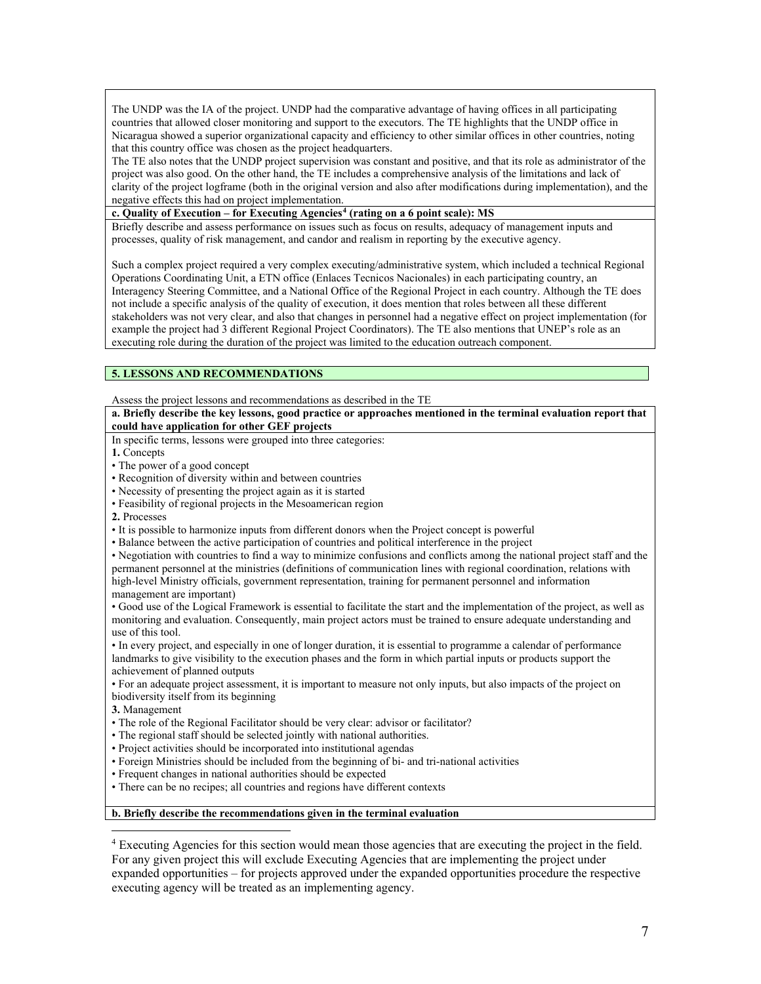The UNDP was the IA of the project. UNDP had the comparative advantage of having offices in all participating countries that allowed closer monitoring and support to the executors. The TE highlights that the UNDP office in Nicaragua showed a superior organizational capacity and efficiency to other similar offices in other countries, noting that this country office was chosen as the project headquarters.

The TE also notes that the UNDP project supervision was constant and positive, and that its role as administrator of the project was also good. On the other hand, the TE includes a comprehensive analysis of the limitations and lack of clarity of the project logframe (both in the original version and also after modifications during implementation), and the negative effects this had on project implementation.

**c. Quality of Execution – for Executing Agencies[4](#page-6-0) (rating on a 6 point scale): MS**

Briefly describe and assess performance on issues such as focus on results, adequacy of management inputs and processes, quality of risk management, and candor and realism in reporting by the executive agency.

Such a complex project required a very complex executing/administrative system, which included a technical Regional Operations Coordinating Unit, a ETN office (Enlaces Tecnicos Nacionales) in each participating country, an Interagency Steering Committee, and a National Office of the Regional Project in each country. Although the TE does not include a specific analysis of the quality of execution, it does mention that roles between all these different stakeholders was not very clear, and also that changes in personnel had a negative effect on project implementation (for example the project had 3 different Regional Project Coordinators). The TE also mentions that UNEP's role as an executing role during the duration of the project was limited to the education outreach component.

## **5. LESSONS AND RECOMMENDATIONS**

Assess the project lessons and recommendations as described in the TE

**a. Briefly describe the key lessons, good practice or approaches mentioned in the terminal evaluation report that could have application for other GEF projects**

In specific terms, lessons were grouped into three categories:

**1.** Concepts

• The power of a good concept

• Recognition of diversity within and between countries

• Necessity of presenting the project again as it is started

• Feasibility of regional projects in the Mesoamerican region

**2.** Processes

• It is possible to harmonize inputs from different donors when the Project concept is powerful

• Balance between the active participation of countries and political interference in the project

• Negotiation with countries to find a way to minimize confusions and conflicts among the national project staff and the permanent personnel at the ministries (definitions of communication lines with regional coordination, relations with high-level Ministry officials, government representation, training for permanent personnel and information management are important)

• Good use of the Logical Framework is essential to facilitate the start and the implementation of the project, as well as monitoring and evaluation. Consequently, main project actors must be trained to ensure adequate understanding and use of this tool.

• In every project, and especially in one of longer duration, it is essential to programme a calendar of performance landmarks to give visibility to the execution phases and the form in which partial inputs or products support the achievement of planned outputs

• For an adequate project assessment, it is important to measure not only inputs, but also impacts of the project on biodiversity itself from its beginning

**3.** Management

• The role of the Regional Facilitator should be very clear: advisor or facilitator?

• The regional staff should be selected jointly with national authorities.

• Project activities should be incorporated into institutional agendas

• Foreign Ministries should be included from the beginning of bi- and tri-national activities

• Frequent changes in national authorities should be expected

• There can be no recipes; all countries and regions have different contexts

**b. Briefly describe the recommendations given in the terminal evaluation** 

<span id="page-6-0"></span> $\overline{a}$ <sup>4</sup> Executing Agencies for this section would mean those agencies that are executing the project in the field. For any given project this will exclude Executing Agencies that are implementing the project under expanded opportunities – for projects approved under the expanded opportunities procedure the respective executing agency will be treated as an implementing agency.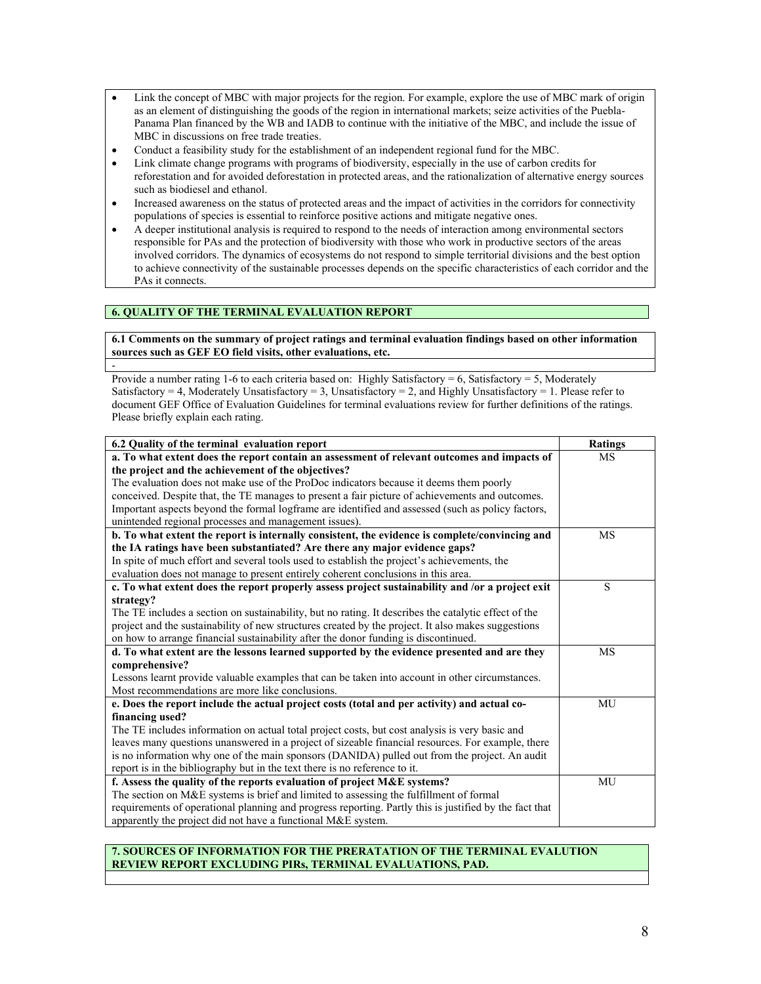- Link the concept of MBC with major projects for the region. For example, explore the use of MBC mark of origin as an element of distinguishing the goods of the region in international markets; seize activities of the Puebla-Panama Plan financed by the WB and IADB to continue with the initiative of the MBC, and include the issue of MBC in discussions on free trade treaties.
- Conduct a feasibility study for the establishment of an independent regional fund for the MBC.
- Link climate change programs with programs of biodiversity, especially in the use of carbon credits for reforestation and for avoided deforestation in protected areas, and the rationalization of alternative energy sources such as biodiesel and ethanol.
- Increased awareness on the status of protected areas and the impact of activities in the corridors for connectivity populations of species is essential to reinforce positive actions and mitigate negative ones.
- A deeper institutional analysis is required to respond to the needs of interaction among environmental sectors responsible for PAs and the protection of biodiversity with those who work in productive sectors of the areas involved corridors. The dynamics of ecosystems do not respond to simple territorial divisions and the best option to achieve connectivity of the sustainable processes depends on the specific characteristics of each corridor and the PAs it connects.

## **6. QUALITY OF THE TERMINAL EVALUATION REPORT**

-

**6.1 Comments on the summary of project ratings and terminal evaluation findings based on other information sources such as GEF EO field visits, other evaluations, etc.** 

Provide a number rating 1-6 to each criteria based on: Highly Satisfactory = 6, Satisfactory = 5, Moderately Satisfactory = 4, Moderately Unsatisfactory = 3, Unsatisfactory = 2, and Highly Unsatisfactory = 1. Please refer to document GEF Office of Evaluation Guidelines for terminal evaluations review for further definitions of the ratings. Please briefly explain each rating.

| 6.2 Quality of the terminal evaluation report                                                          | <b>Ratings</b> |
|--------------------------------------------------------------------------------------------------------|----------------|
| a. To what extent does the report contain an assessment of relevant outcomes and impacts of            | <b>MS</b>      |
| the project and the achievement of the objectives?                                                     |                |
| The evaluation does not make use of the ProDoc indicators because it deems them poorly                 |                |
| conceived. Despite that, the TE manages to present a fair picture of achievements and outcomes.        |                |
| Important aspects beyond the formal logframe are identified and assessed (such as policy factors,      |                |
| unintended regional processes and management issues).                                                  |                |
| b. To what extent the report is internally consistent, the evidence is complete/convincing and         | MS             |
| the IA ratings have been substantiated? Are there any major evidence gaps?                             |                |
| In spite of much effort and several tools used to establish the project's achievements, the            |                |
| evaluation does not manage to present entirely coherent conclusions in this area.                      |                |
| c. To what extent does the report properly assess project sustainability and /or a project exit        | S              |
| strategy?                                                                                              |                |
| The TE includes a section on sustainability, but no rating. It describes the catalytic effect of the   |                |
| project and the sustainability of new structures created by the project. It also makes suggestions     |                |
| on how to arrange financial sustainability after the donor funding is discontinued.                    |                |
| d. To what extent are the lessons learned supported by the evidence presented and are they             | <b>MS</b>      |
| comprehensive?                                                                                         |                |
| Lessons learnt provide valuable examples that can be taken into account in other circumstances.        |                |
| Most recommendations are more like conclusions.                                                        |                |
| e. Does the report include the actual project costs (total and per activity) and actual co-            | MU             |
| financing used?                                                                                        |                |
| The TE includes information on actual total project costs, but cost analysis is very basic and         |                |
| leaves many questions unanswered in a project of sizeable financial resources. For example, there      |                |
| is no information why one of the main sponsors (DANIDA) pulled out from the project. An audit          |                |
| report is in the bibliography but in the text there is no reference to it.                             |                |
| f. Assess the quality of the reports evaluation of project M&E systems?                                | MU             |
| The section on M&E systems is brief and limited to assessing the fulfillment of formal                 |                |
| requirements of operational planning and progress reporting. Partly this is justified by the fact that |                |
| apparently the project did not have a functional M&E system.                                           |                |

## **7. SOURCES OF INFORMATION FOR THE PRERATATION OF THE TERMINAL EVALUTION REVIEW REPORT EXCLUDING PIRs, TERMINAL EVALUATIONS, PAD.**